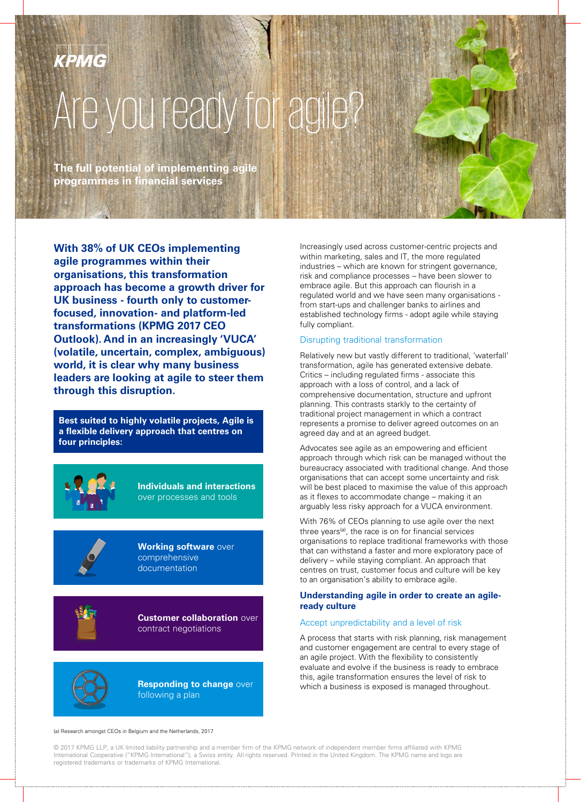# Are you ready for agile?

**The full potential of implementing agile programmes in financial services**

**With 38% of UK CEOs implementing agile programmes within their organisations, this transformation approach has become a growth driver for UK business - fourth only to customerfocused, innovation- and platform-led transformations (KPMG 2017 CEO Outlook). And in an increasingly 'VUCA' (volatile, uncertain, complex, ambiguous) world, it is clear why many business leaders are looking at agile to steer them through this disruption.**

**Best suited to highly volatile projects, Agile is a flexible delivery approach that centres on four principles:**



**Individuals and interactions** over processes and tools



**Working software** over comprehensive documentation



**Customer collaboration** over contract negotiations



**Responding to change over** following a plan

Increasingly used across customer-centric projects and within marketing, sales and IT, the more regulated industries – which are known for stringent governance, risk and compliance processes – have been slower to embrace agile. But this approach can flourish in a regulated world and we have seen many organisations from start-ups and challenger banks to airlines and established technology firms - adopt agile while staying fully compliant.

# Disrupting traditional transformation

Relatively new but vastly different to traditional, 'waterfall' transformation, agile has generated extensive debate. Critics – including regulated firms - associate this approach with a loss of control, and a lack of comprehensive documentation, structure and upfront planning. This contrasts starkly to the certainty of traditional project management in which a contract represents a promise to deliver agreed outcomes on an agreed day and at an agreed budget.

Advocates see agile as an empowering and efficient approach through which risk can be managed without the bureaucracy associated with traditional change. And those organisations that can accept some uncertainty and risk will be best placed to maximise the value of this approach as it flexes to accommodate change – making it an arguably less risky approach for a VUCA environment.

With 76% of CEOs planning to use agile over the next three years<sup>(a)</sup>, the race is on for financial services organisations to replace traditional frameworks with those that can withstand a faster and more exploratory pace of delivery – while staying compliant. An approach that centres on trust, customer focus and culture will be key to an organisation's ability to embrace agile.

# **Understanding agile in order to create an agileready culture**

# Accept unpredictability and a level of risk

A process that starts with risk planning, risk management and customer engagement are central to every stage of an agile project. With the flexibility to consistently evaluate and evolve if the business is ready to embrace this, agile transformation ensures the level of risk to which a business is exposed is managed throughout.

(a) Research amongst CEOs in Belgium and the Netherlands, 2017

© 2017 KPMG LLP, a UK limited liability partnership and a member firm of the KPMG network of independent member firms affiliated with KPMG International Cooperative ("KPMG International"), a Swiss entity. All rights reserved. Printed in the United Kingdom. The KPMG name and logo are registered trademarks or trademarks of KPMG International.